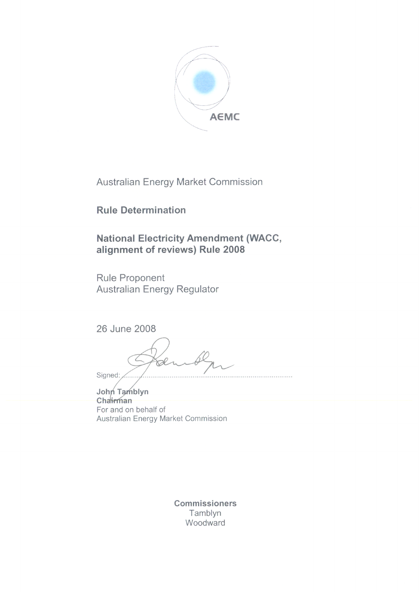

**Australian Energy Market Commission** 

# **Rule Determination**

# **National Electricity Amendment (WACC,** alignment of reviews) Rule 2008

**Rule Proponent Australian Energy Regulator** 

26 June 2008

Signed:

John Tamblyn Chairman For and on behalf of Australian Energy Market Commission

> **Commissioners** Tamblyn Woodward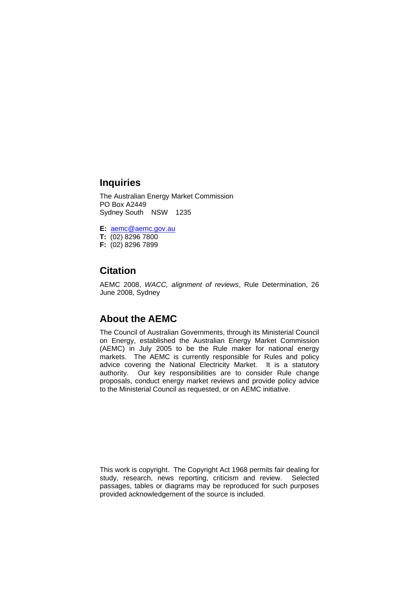## **Inquiries**

The Australian Energy Market Commission PO Box A2449 Sydney South NSW 1235

**E:** aemc@aemc.gov.au **T:** (02) 8296 7800

**F:** (02) 8296 7899

# **Citation**

AEMC 2008, *WACC, alignment of reviews*, Rule Determination, 26 June 2008, Sydney

## **About the AEMC**

The Council of Australian Governments, through its Ministerial Council on Energy, established the Australian Energy Market Commission (AEMC) in July 2005 to be the Rule maker for national energy markets. The AEMC is currently responsible for Rules and policy advice covering the National Electricity Market. It is a statutory authority. Our key responsibilities are to consider Rule change proposals, conduct energy market reviews and provide policy advice to the Ministerial Council as requested, or on AEMC initiative.

This work is copyright. The Copyright Act 1968 permits fair dealing for study, research, news reporting, criticism and review. Selected passages, tables or diagrams may be reproduced for such purposes provided acknowledgement of the source is included.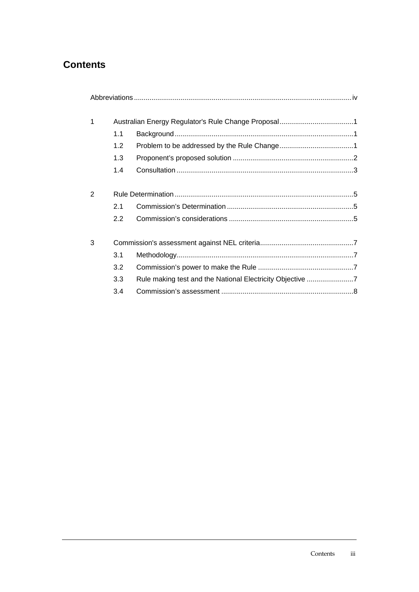# **Contents**

| 1             |     |                                                           |  |
|---------------|-----|-----------------------------------------------------------|--|
|               | 1.1 |                                                           |  |
|               | 1.2 |                                                           |  |
|               | 1.3 |                                                           |  |
|               | 1.4 |                                                           |  |
| $\mathcal{P}$ |     |                                                           |  |
|               | 2.1 |                                                           |  |
|               | 2.2 |                                                           |  |
| 3             |     |                                                           |  |
|               | 3.1 |                                                           |  |
|               | 3.2 |                                                           |  |
|               | 3.3 | Rule making test and the National Electricity Objective 7 |  |
|               | 3.4 |                                                           |  |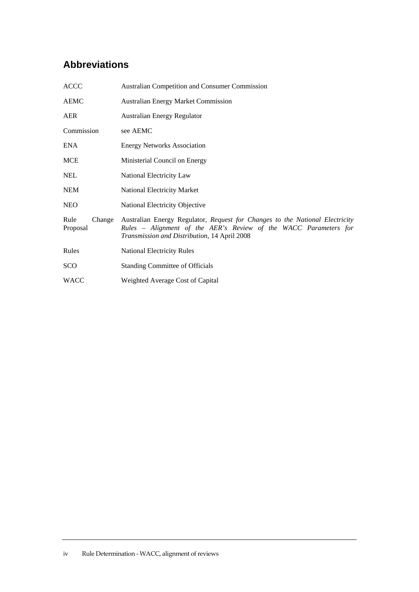# **Abbreviations**

| <b>ACCC</b>                | Australian Competition and Consumer Commission                                                                                                                                                   |
|----------------------------|--------------------------------------------------------------------------------------------------------------------------------------------------------------------------------------------------|
| <b>AEMC</b>                | <b>Australian Energy Market Commission</b>                                                                                                                                                       |
| AER                        | <b>Australian Energy Regulator</b>                                                                                                                                                               |
| Commission                 | see AEMC                                                                                                                                                                                         |
| <b>ENA</b>                 | <b>Energy Networks Association</b>                                                                                                                                                               |
| <b>MCE</b>                 | Ministerial Council on Energy                                                                                                                                                                    |
| <b>NEL</b>                 | National Electricity Law                                                                                                                                                                         |
| <b>NEM</b>                 | <b>National Electricity Market</b>                                                                                                                                                               |
| <b>NEO</b>                 | National Electricity Objective                                                                                                                                                                   |
| Rule<br>Change<br>Proposal | Australian Energy Regulator, Request for Changes to the National Electricity<br>Rules - Alignment of the AER's Review of the WACC Parameters for<br>Transmission and Distribution, 14 April 2008 |
| Rules                      | <b>National Electricity Rules</b>                                                                                                                                                                |
| <b>SCO</b>                 | <b>Standing Committee of Officials</b>                                                                                                                                                           |
| <b>WACC</b>                | Weighted Average Cost of Capital                                                                                                                                                                 |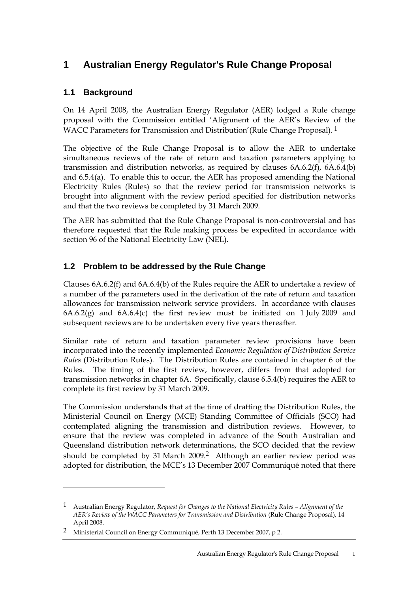# **1 Australian Energy Regulator's Rule Change Proposal**

### **1.1 Background**

1

On 14 April 2008, the Australian Energy Regulator (AER) lodged a Rule change proposal with the Commission entitled 'Alignment of the AER's Review of the WACC Parameters for Transmission and Distribution' (Rule Change Proposal).<sup>1</sup>

The objective of the Rule Change Proposal is to allow the AER to undertake simultaneous reviews of the rate of return and taxation parameters applying to transmission and distribution networks, as required by clauses 6A.6.2(f), 6A.6.4(b) and 6.5.4(a). To enable this to occur, the AER has proposed amending the National Electricity Rules (Rules) so that the review period for transmission networks is brought into alignment with the review period specified for distribution networks and that the two reviews be completed by 31 March 2009.

The AER has submitted that the Rule Change Proposal is non-controversial and has therefore requested that the Rule making process be expedited in accordance with section 96 of the National Electricity Law (NEL).

## **1.2 Problem to be addressed by the Rule Change**

Clauses 6A.6.2(f) and 6A.6.4(b) of the Rules require the AER to undertake a review of a number of the parameters used in the derivation of the rate of return and taxation allowances for transmission network service providers. In accordance with clauses  $6A.6.2(g)$  and  $6A.6.4(c)$  the first review must be initiated on 1 July 2009 and subsequent reviews are to be undertaken every five years thereafter.

Similar rate of return and taxation parameter review provisions have been incorporated into the recently implemented *Economic Regulation of Distribution Service Rules* (Distribution Rules)*.* The Distribution Rules are contained in chapter 6 of the Rules. The timing of the first review, however, differs from that adopted for transmission networks in chapter 6A. Specifically, clause 6.5.4(b) requires the AER to complete its first review by 31 March 2009.

The Commission understands that at the time of drafting the Distribution Rules, the Ministerial Council on Energy (MCE) Standing Committee of Officials (SCO) had contemplated aligning the transmission and distribution reviews. However, to ensure that the review was completed in advance of the South Australian and Queensland distribution network determinations, the SCO decided that the review should be completed by 31 March 2009.<sup>2</sup> Although an earlier review period was adopted for distribution*,* the MCE's 13 December 2007 Communiqué noted that there

<sup>1</sup> Australian Energy Regulator, *Request for Changes to the National Electricity Rules – Alignment of the AER's Review of the WACC Parameters for Transmission and Distribution* (Rule Change Proposal), 14 April 2008.

<sup>2</sup> Ministerial Council on Energy Communiqué, Perth 13 December 2007, p 2.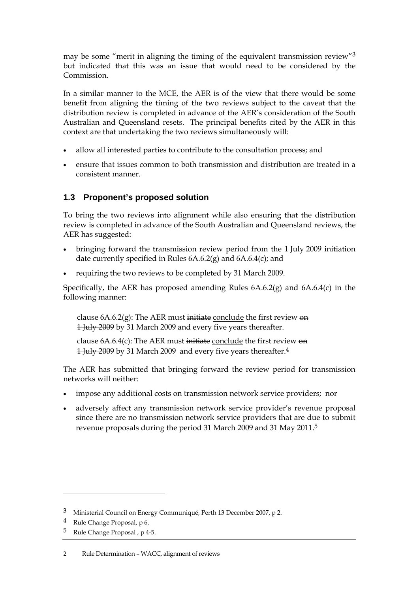may be some "merit in aligning the timing of the equivalent transmission review"3 but indicated that this was an issue that would need to be considered by the Commission.

In a similar manner to the MCE, the AER is of the view that there would be some benefit from aligning the timing of the two reviews subject to the caveat that the distribution review is completed in advance of the AER's consideration of the South Australian and Queensland resets. The principal benefits cited by the AER in this context are that undertaking the two reviews simultaneously will:

- allow all interested parties to contribute to the consultation process; and
- ensure that issues common to both transmission and distribution are treated in a consistent manner.

#### **1.3 Proponent's proposed solution**

To bring the two reviews into alignment while also ensuring that the distribution review is completed in advance of the South Australian and Queensland reviews, the AER has suggested:

- bringing forward the transmission review period from the 1 July 2009 initiation date currently specified in Rules 6A.6.2(g) and 6A.6.4(c); and
- requiring the two reviews to be completed by 31 March 2009.

Specifically, the AER has proposed amending Rules 6A.6.2(g) and 6A.6.4(c) in the following manner:

clause  $6A.6.2(g)$ : The AER must initiate conclude the first review on 1 July 2009 by 31 March 2009 and every five years thereafter.

clause  $6A.6.4(c)$ : The AER must initiate conclude the first review  $\Theta$ n 1 July 2009 by 31 March 2009 and every five years thereafter.4

The AER has submitted that bringing forward the review period for transmission networks will neither:

- impose any additional costs on transmission network service providers; nor
- adversely affect any transmission network service provider's revenue proposal since there are no transmission network service providers that are due to submit revenue proposals during the period 31 March 2009 and 31 May 2011.5

<sup>3</sup> Ministerial Council on Energy Communiqué, Perth 13 December 2007, p 2.

<sup>4</sup> Rule Change Proposal, p 6.

<sup>5</sup> Rule Change Proposal , p 4-5.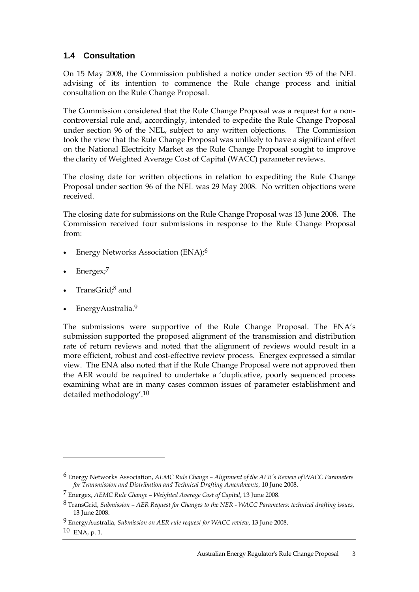#### **1.4 Consultation**

On 15 May 2008, the Commission published a notice under section 95 of the NEL advising of its intention to commence the Rule change process and initial consultation on the Rule Change Proposal.

The Commission considered that the Rule Change Proposal was a request for a noncontroversial rule and, accordingly, intended to expedite the Rule Change Proposal under section 96 of the NEL, subject to any written objections. The Commission took the view that the Rule Change Proposal was unlikely to have a significant effect on the National Electricity Market as the Rule Change Proposal sought to improve the clarity of Weighted Average Cost of Capital (WACC) parameter reviews.

The closing date for written objections in relation to expediting the Rule Change Proposal under section 96 of the NEL was 29 May 2008. No written objections were received.

The closing date for submissions on the Rule Change Proposal was 13 June 2008. The Commission received four submissions in response to the Rule Change Proposal from:

- Energy Networks Association (ENA);6
- Energex;<sup>7</sup>
- TransGrid;8 and
- EnergyAustralia.9

The submissions were supportive of the Rule Change Proposal. The ENA's submission supported the proposed alignment of the transmission and distribution rate of return reviews and noted that the alignment of reviews would result in a more efficient, robust and cost-effective review process. Energex expressed a similar view. The ENA also noted that if the Rule Change Proposal were not approved then the AER would be required to undertake a 'duplicative, poorly sequenced process examining what are in many cases common issues of parameter establishment and detailed methodology'.10

1

<sup>6</sup> Energy Networks Association, *AEMC Rule Change – Alignment of the AER's Review of WACC Parameters for Transmission and Distribution and Technical Drafting Amendments*, 10 June 2008.

<sup>7</sup> Energex, *AEMC Rule Change – Weighted Average Cost of Capital*, 13 June 2008.

<sup>8</sup> TransGrid, *Submission – AER Request for Changes to the NER - WACC Parameters: technical drafting issues*, 13 June 2008.

<sup>9</sup> EnergyAustralia, *Submission on AER rule request for WACC review*, 13 June 2008.

<sup>10</sup> ENA, p. 1.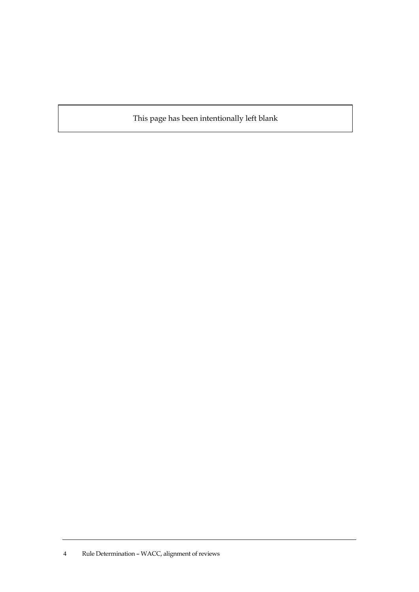This page has been intentionally left blank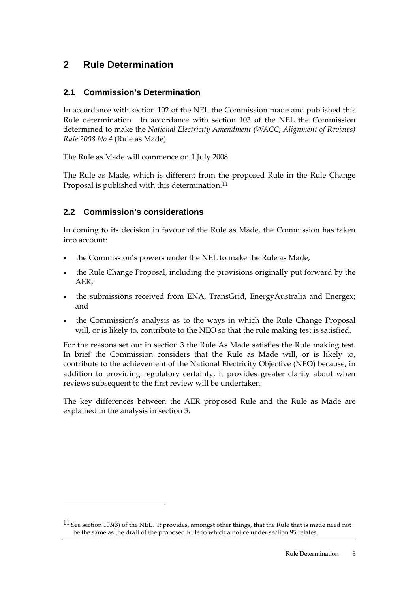# **2 Rule Determination**

#### **2.1 Commission's Determination**

In accordance with section 102 of the NEL the Commission made and published this Rule determination. In accordance with section 103 of the NEL the Commission determined to make the *National Electricity Amendment (WACC, Alignment of Reviews) Rule 2008 No 4* (Rule as Made).

The Rule as Made will commence on 1 July 2008.

The Rule as Made, which is different from the proposed Rule in the Rule Change Proposal is published with this determination.<sup>11</sup>

#### **2.2 Commission's considerations**

<u>.</u>

In coming to its decision in favour of the Rule as Made, the Commission has taken into account:

- the Commission's powers under the NEL to make the Rule as Made;
- the Rule Change Proposal, including the provisions originally put forward by the AER;
- the submissions received from ENA, TransGrid, EnergyAustralia and Energex; and
- the Commission's analysis as to the ways in which the Rule Change Proposal will, or is likely to, contribute to the NEO so that the rule making test is satisfied.

For the reasons set out in section 3 the Rule As Made satisfies the Rule making test. In brief the Commission considers that the Rule as Made will, or is likely to, contribute to the achievement of the National Electricity Objective (NEO) because, in addition to providing regulatory certainty, it provides greater clarity about when reviews subsequent to the first review will be undertaken.

The key differences between the AER proposed Rule and the Rule as Made are explained in the analysis in section 3.

<sup>11</sup> See section 103(3) of the NEL. It provides, amongst other things, that the Rule that is made need not be the same as the draft of the proposed Rule to which a notice under section 95 relates.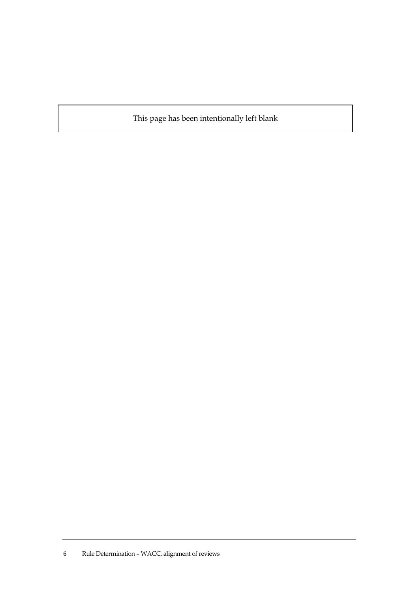This page has been intentionally left blank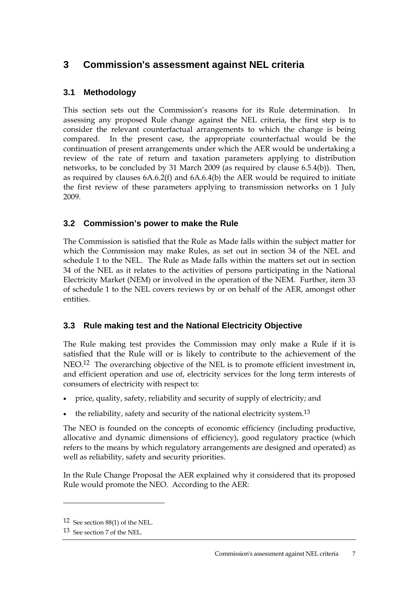# **3 Commission's assessment against NEL criteria**

## **3.1 Methodology**

This section sets out the Commission's reasons for its Rule determination. In assessing any proposed Rule change against the NEL criteria, the first step is to consider the relevant counterfactual arrangements to which the change is being compared. In the present case, the appropriate counterfactual would be the continuation of present arrangements under which the AER would be undertaking a review of the rate of return and taxation parameters applying to distribution networks, to be concluded by 31 March 2009 (as required by clause 6.5.4(b)). Then, as required by clauses 6A.6.2(f) and 6A.6.4(b) the AER would be required to initiate the first review of these parameters applying to transmission networks on 1 July 2009.

## **3.2 Commission's power to make the Rule**

The Commission is satisfied that the Rule as Made falls within the subject matter for which the Commission may make Rules, as set out in section 34 of the NEL and schedule 1 to the NEL. The Rule as Made falls within the matters set out in section 34 of the NEL as it relates to the activities of persons participating in the National Electricity Market (NEM) or involved in the operation of the NEM. Further, item 33 of schedule 1 to the NEL covers reviews by or on behalf of the AER, amongst other entities.

## **3.3 Rule making test and the National Electricity Objective**

The Rule making test provides the Commission may only make a Rule if it is satisfied that the Rule will or is likely to contribute to the achievement of the NEO.<sup>12</sup> The overarching objective of the NEL is to promote efficient investment in, and efficient operation and use of, electricity services for the long term interests of consumers of electricity with respect to:

- price, quality, safety, reliability and security of supply of electricity; and
- the reliability, safety and security of the national electricity system.<sup>13</sup>

The NEO is founded on the concepts of economic efficiency (including productive, allocative and dynamic dimensions of efficiency), good regulatory practice (which refers to the means by which regulatory arrangements are designed and operated) as well as reliability, safety and security priorities.

In the Rule Change Proposal the AER explained why it considered that its proposed Rule would promote the NEO. According to the AER:

<sup>12</sup> See section 88(1) of the NEL.

<sup>13</sup> See section 7 of the NEL.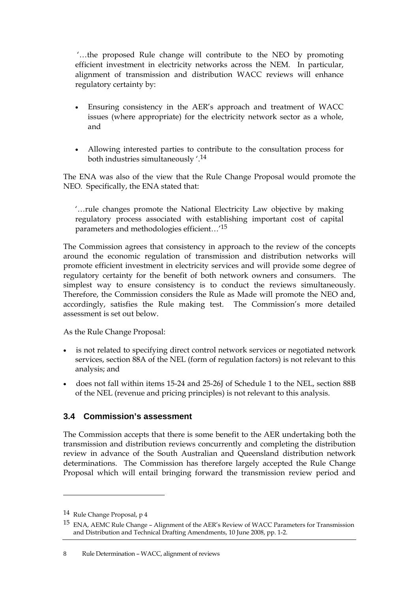'…the proposed Rule change will contribute to the NEO by promoting efficient investment in electricity networks across the NEM. In particular, alignment of transmission and distribution WACC reviews will enhance regulatory certainty by:

- Ensuring consistency in the AER's approach and treatment of WACC issues (where appropriate) for the electricity network sector as a whole, and
- Allowing interested parties to contribute to the consultation process for both industries simultaneously '.14

The ENA was also of the view that the Rule Change Proposal would promote the NEO. Specifically, the ENA stated that:

'…rule changes promote the National Electricity Law objective by making regulatory process associated with establishing important cost of capital parameters and methodologies efficient…'15

The Commission agrees that consistency in approach to the review of the concepts around the economic regulation of transmission and distribution networks will promote efficient investment in electricity services and will provide some degree of regulatory certainty for the benefit of both network owners and consumers. The simplest way to ensure consistency is to conduct the reviews simultaneously. Therefore, the Commission considers the Rule as Made will promote the NEO and, accordingly, satisfies the Rule making test. The Commission's more detailed assessment is set out below.

As the Rule Change Proposal:

- is not related to specifying direct control network services or negotiated network services, section 88A of the NEL (form of regulation factors) is not relevant to this analysis; and
- does not fall within items 15-24 and 25-26J of Schedule 1 to the NEL, section 88B of the NEL (revenue and pricing principles) is not relevant to this analysis.

#### **3.4 Commission's assessment**

The Commission accepts that there is some benefit to the AER undertaking both the transmission and distribution reviews concurrently and completing the distribution review in advance of the South Australian and Queensland distribution network determinations. The Commission has therefore largely accepted the Rule Change Proposal which will entail bringing forward the transmission review period and

<sup>14</sup> Rule Change Proposal, p 4

<sup>15</sup> ENA, AEMC Rule Change – Alignment of the AER's Review of WACC Parameters for Transmission and Distribution and Technical Drafting Amendments, 10 June 2008, pp. 1-2.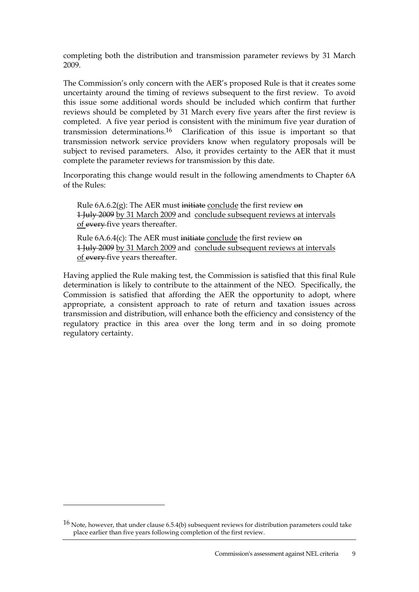completing both the distribution and transmission parameter reviews by 31 March 2009.

The Commission's only concern with the AER's proposed Rule is that it creates some uncertainty around the timing of reviews subsequent to the first review. To avoid this issue some additional words should be included which confirm that further reviews should be completed by 31 March every five years after the first review is completed. A five year period is consistent with the minimum five year duration of transmission determinations.16 Clarification of this issue is important so that transmission network service providers know when regulatory proposals will be subject to revised parameters. Also, it provides certainty to the AER that it must complete the parameter reviews for transmission by this date.

Incorporating this change would result in the following amendments to Chapter 6A of the Rules:

Rule  $6A.6.2(g)$ : The AER must initiate conclude the first review on 1 July 2009 by 31 March 2009 and conclude subsequent reviews at intervals of every five years thereafter.

Rule  $6A.6.4(c)$ : The AER must initiate conclude the first review on 1 July 2009 by 31 March 2009 and conclude subsequent reviews at intervals of every five years thereafter.

Having applied the Rule making test, the Commission is satisfied that this final Rule determination is likely to contribute to the attainment of the NEO. Specifically, the Commission is satisfied that affording the AER the opportunity to adopt, where appropriate, a consistent approach to rate of return and taxation issues across transmission and distribution, will enhance both the efficiency and consistency of the regulatory practice in this area over the long term and in so doing promote regulatory certainty.

<sup>16</sup> Note, however, that under clause 6.5.4(b) subsequent reviews for distribution parameters could take place earlier than five years following completion of the first review.